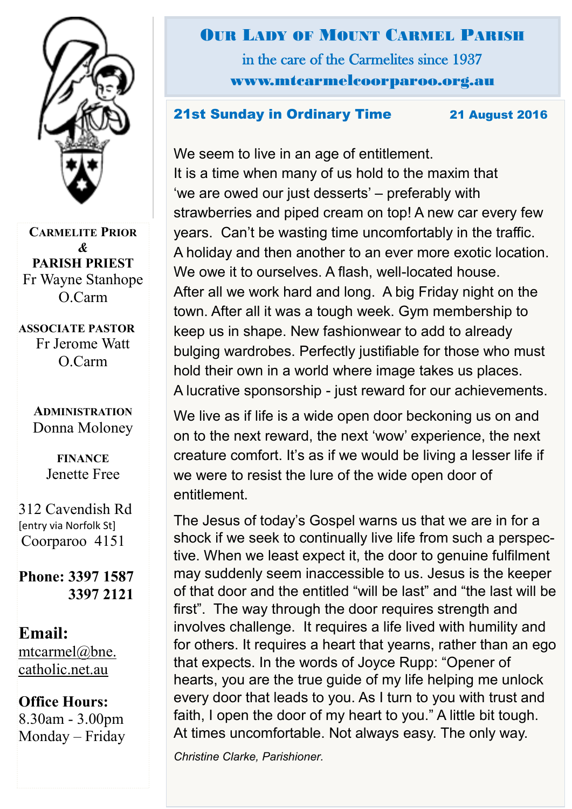

**CARMELITE PRIOR** *&* **PARISH PRIEST** Fr Wayne Stanhope O.Carm

**ASSOCIATE PASTOR** Fr Jerome Watt O.Carm

#### **ADMINISTRATION** Donna Moloney

**FINANCE**  Jenette Free

312 Cavendish Rd [entry via Norfolk St] Coorparoo 4151

**Phone: 3397 1587 3397 2121**

**Email:** [mtcarmel@bne.](mailto:mtcarmel@bne.catholic.net.au)  [catholic.net.au](mailto:mtcarmel@bne.catholic.net.au)

### **Office Hours:**  8.30am - 3.00pm Monday – Friday

OUR LADY OF MOUNT CARMEL PARISH in the care of the Carmelites since 1937 www.mtcarmelcoorparoo.org.au

#### 21st Sunday in Ordinary Time 21 August 2016

We seem to live in an age of entitlement. It is a time when many of us hold to the maxim that 'we are owed our just desserts' – preferably with strawberries and piped cream on top! A new car every few years. Can't be wasting time uncomfortably in the traffic. A holiday and then another to an ever more exotic location. We owe it to ourselves. A flash, well-located house. After all we work hard and long. A big Friday night on the town. After all it was a tough week. Gym membership to keep us in shape. New fashionwear to add to already bulging wardrobes. Perfectly justifiable for those who must hold their own in a world where image takes us places. A lucrative sponsorship - just reward for our achievements.

We live as if life is a wide open door beckoning us on and on to the next reward, the next 'wow' experience, the next creature comfort. It's as if we would be living a lesser life if we were to resist the lure of the wide open door of entitlement.

The Jesus of today's Gospel warns us that we are in for a shock if we seek to continually live life from such a perspective. When we least expect it, the door to genuine fulfilment may suddenly seem inaccessible to us. Jesus is the keeper of that door and the entitled "will be last" and "the last will be first". The way through the door requires strength and involves challenge. It requires a life lived with humility and for others. It requires a heart that yearns, rather than an ego that expects. In the words of Joyce Rupp: "Opener of hearts, you are the true guide of my life helping me unlock every door that leads to you. As I turn to you with trust and faith, I open the door of my heart to you." A little bit tough. At times uncomfortable. Not always easy. The only way.

*Christine Clarke, Parishioner.*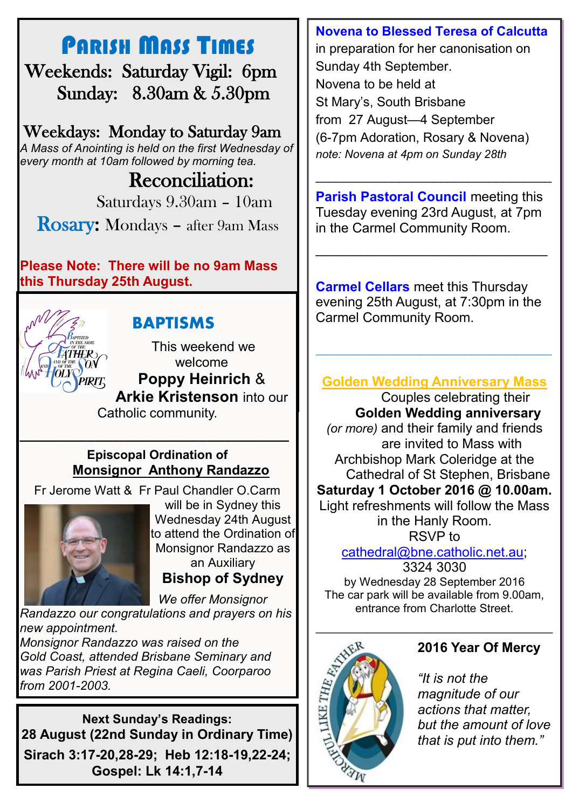# PARISH MASS TIMES

 Weekends: Saturday Vigil: 6pm Sunday: 8.30am & 5.30pm

Weekdays: Monday to Saturday 9am *A Mass of Anointing is held on the first Wednesday of every month at 10am followed by morning tea.*

## Reconciliation:

Saturdays 9.30am – 10am

Rosary: Mondays – after 9am Mass

**Please Note: There will be no 9am Mass this Thursday 25th August.**



## **BAPTISMS**

This weekend we welcome **Poppy Heinrich** & **Arkie Kristenson** into our Catholic community.

### **Episcopal Ordination of Monsignor Anthony Randazzo**

Fr Jerome Watt & Fr Paul Chandler O.Carm

*\_\_\_\_\_\_\_\_\_\_\_\_\_\_\_\_\_\_\_\_\_\_\_\_\_\_\_\_\_\_\_\_\_\_\_\_*



will be in Sydney this Wednesday 24th August to attend the Ordination of Monsignor Randazzo as an Auxiliary **Bishop of Sydney**

 *We offer Monsignor* 

*Randazzo our congratulations and prayers on his new appointment.* 

*Monsignor Randazzo was raised on the Gold Coast, attended Brisbane Seminary and was Parish Priest at Regina Caeli, Coorparoo from 2001-2003.*

**Next Sunday's Readings: 28 August (22nd Sunday in Ordinary Time) Sirach 3:17-20,28-29; Heb 12:18-19,22-24; Gospel: Lk 14:1,7-14**

#### **Novena to Blessed Teresa of Calcutta**

in preparation for her canonisation on Sunday 4th September. Novena to be held at St Mary's, South Brisbane from 27 August—4 September (6-7pm Adoration, Rosary & Novena) *note: Novena at 4pm on Sunday 28th* 

**Parish Pastoral Council meeting this** Tuesday evening 23rd August, at 7pm in the Carmel Community Room.

\_\_\_\_\_\_\_\_\_\_\_\_\_\_\_\_\_\_\_\_\_\_\_\_\_\_\_\_\_\_\_

\_\_\_\_\_\_\_\_\_\_\_\_\_\_\_\_\_\_\_\_\_\_\_\_\_\_\_\_\_\_\_\_\_\_

**Carmel Cellars** meet this Thursday evening 25th August, at 7:30pm in the Carmel Community Room.

## **Golden Wedding Anniversary Mass**

\_\_\_\_\_\_\_\_\_\_\_\_\_\_\_\_\_\_\_\_\_\_\_\_\_\_\_\_\_\_\_\_\_\_\_\_\_\_\_\_\_

Couples celebrating their **Golden Wedding anniversary**  *(or more)* and their family and friends are invited to Mass with Archbishop Mark Coleridge at the Cathedral of St Stephen, Brisbane **Saturday 1 October 2016 @ 10.00am.**  Light refreshments will follow the Mass in the Hanly Room. RSVP to

> [cathedral@bne.catholic.net.au;](mailto:cathedral@bne.catholic.net.au) 3324 3030

by Wednesday 28 September 2016 The car park will be available from 9.00am, entrance from Charlotte Street.



#### **2016 Year Of Mercy**

*"It is not the magnitude of our actions that matter, but the amount of love that is put into them."*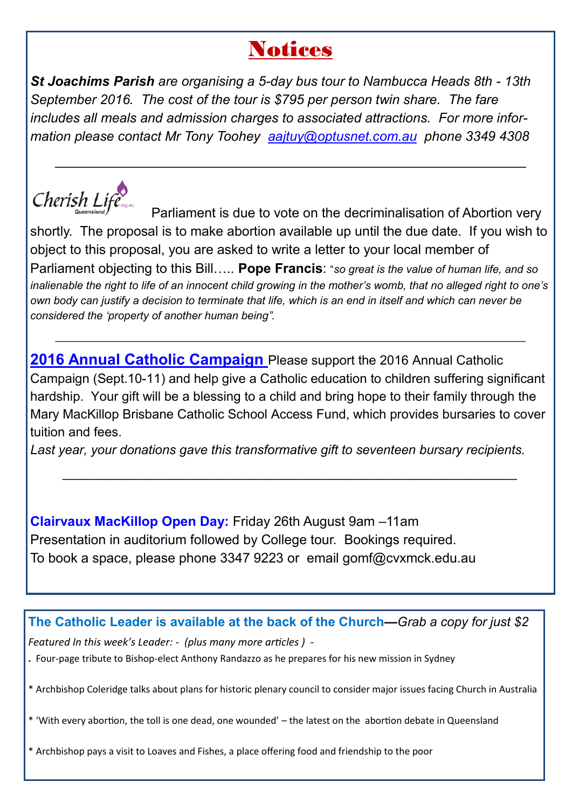# **Notices**

*St Joachims Parish are organising a 5-day bus tour to Nambucca Heads 8th - 13th September 2016. The cost of the tour is \$795 per person twin share. The fare includes all meals and admission charges to associated attractions. For more information please contact Mr Tony Toohey [aajtuy@optusnet.com.au](mailto:aajtuy@optusnet.com.au) phone 3349 4308*

\_\_\_\_\_\_\_\_\_\_\_\_\_\_\_\_\_\_\_\_\_\_\_\_\_\_\_\_\_\_\_\_\_\_\_\_\_\_\_\_\_\_\_\_\_\_\_\_\_\_\_\_\_\_\_\_\_\_\_\_\_\_\_



 Parliament is due to vote on the decriminalisation of Abortion very shortly. The proposal is to make abortion available up until the due date. If you wish to object to this proposal, you are asked to write a letter to your local member of Parliament objecting to this Bill….. **Pope Francis**: "*so great is the value of human life, and so inalienable the right to life of an innocent child growing in the mother's womb, that no alleged right to one's own body can justify a decision to terminate that life, which is an end in itself and which can never be considered the 'property of another human being".*

**2016 Annual Catholic Campaign** Please support the 2016 Annual Catholic Campaign (Sept.10-11) and help give a Catholic education to children suffering significant hardship. Your gift will be a blessing to a child and bring hope to their family through the Mary MacKillop Brisbane Catholic School Access Fund, which provides bursaries to cover tuition and fees.

*\_\_\_\_\_\_\_\_\_\_\_\_\_\_\_\_\_\_\_\_\_\_\_\_\_\_\_\_\_\_\_\_\_\_\_\_\_\_\_\_\_\_\_\_\_\_\_\_\_\_\_\_\_\_\_\_\_\_\_\_\_\_\_*

\_\_\_\_\_\_\_\_\_\_\_\_\_\_\_\_\_\_\_\_\_\_\_\_\_\_\_\_\_\_\_\_\_\_\_\_\_\_\_\_\_\_\_\_\_\_\_\_\_\_\_\_\_\_\_\_\_\_\_\_\_\_\_\_\_\_\_\_\_\_\_\_\_\_\_\_\_\_\_\_

*Last year, your donations gave this transformative gift to seventeen bursary recipients.*

**Clairvaux MacKillop Open Day:** Friday 26th August 9am –11am Presentation in auditorium followed by College tour. Bookings required. To book a space, please phone 3347 9223 or email gomf@cvxmck.edu.au

**The Catholic Leader is available at the back of the Church—***Grab a copy for just \$2*

*Featured In this week's Leader: - (plus many more articles ) -*

**.** Four-page tribute to Bishop-elect Anthony Randazzo as he prepares for his new mission in Sydney

\* Archbishop Coleridge talks about plans for historic plenary council to consider major issues facing Church in Australia

\* 'With every abortion, the toll is one dead, one wounded' – the latest on the abortion debate in Queensland

\* Archbishop pays a visit to Loaves and Fishes, a place offering food and friendship to the poor